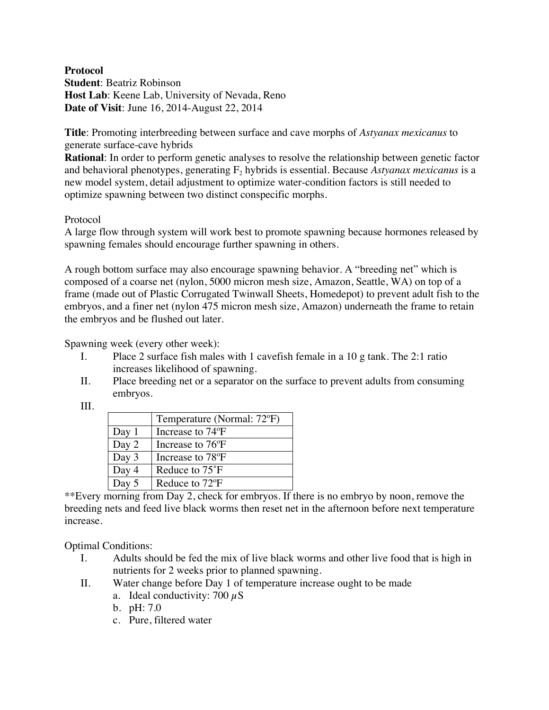## **Protocol Student**: Beatriz Robinson **Host Lab**: Keene Lab, University of Nevada, Reno **Date of Visit**: June 16, 2014-August 22, 2014

**Title**: Promoting interbreeding between surface and cave morphs of *Astyanax mexicanus* to generate surface-cave hybrids

**Rational**: In order to perform genetic analyses to resolve the relationship between genetic factor and behavioral phenotypes, generating F<sub>2</sub> hybrids is essential. Because *Astyanax mexicanus* is a new model system, detail adjustment to optimize water-condition factors is still needed to optimize spawning between two distinct conspecific morphs.

## Protocol

A large flow through system will work best to promote spawning because hormones released by spawning females should encourage further spawning in others.

A rough bottom surface may also encourage spawning behavior. A "breeding net" which is composed of a coarse net (nylon, 5000 micron mesh size, Amazon, Seattle, WA) on top of a frame (made out of Plastic Corrugated Twinwall Sheets, Homedepot) to prevent adult fish to the embryos, and a finer net (nylon 475 micron mesh size, Amazon) underneath the frame to retain the embryos and be flushed out later.

Spawning week (every other week):

- I. Place 2 surface fish males with 1 cavefish female in a 10 g tank. The 2:1 ratio increases likelihood of spawning.
- II. Place breeding net or a separator on the surface to prevent adults from consuming embryos.

## III.

|         | Temperature (Normal: 72°F)    |
|---------|-------------------------------|
| Day $1$ | Increase to 74 <sup>o</sup> F |
| Day 2   | Increase to 76 <sup>o</sup> F |
| Day 3   | Increase to 78 <sup>o</sup> F |
| Day 4   | Reduce to 75°F                |
| Day 5   | Reduce to 72 <sup>o</sup> F   |

\*\*Every morning from Day 2, check for embryos. If there is no embryo by noon, remove the breeding nets and feed live black worms then reset net in the afternoon before next temperature increase.

Optimal Conditions:

- I. Adults should be fed the mix of live black worms and other live food that is high in nutrients for 2 weeks prior to planned spawning.
- II. Water change before Day 1 of temperature increase ought to be made
	- a. Ideal conductivity: 700  $\mu$ S
	- b. pH: 7.0
	- c. Pure, filtered water